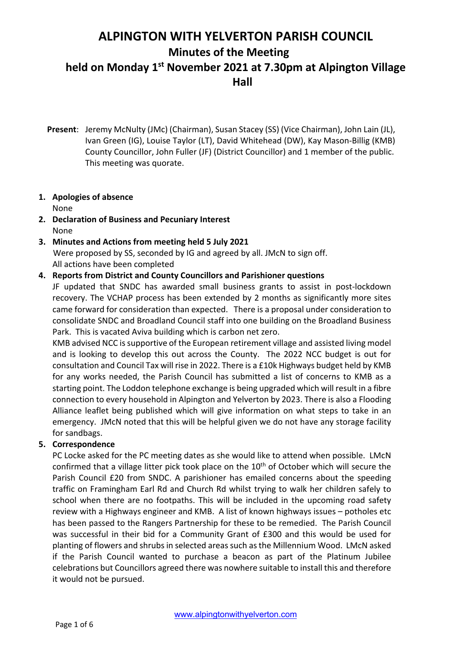**Hall**

**Present**: Jeremy McNulty (JMc) (Chairman), Susan Stacey (SS) (Vice Chairman), John Lain (JL), Ivan Green (IG), Louise Taylor (LT), David Whitehead (DW), Kay Mason-Billig (KMB) County Councillor, John Fuller (JF) (District Councillor) and 1 member of the public. This meeting was quorate.

# **1. Apologies of absence**

None

- **2. Declaration of Business and Pecuniary Interest** None
- **3. Minutes and Actions from meeting held 5 July 2021** Were proposed by SS, seconded by IG and agreed by all. JMcN to sign off. All actions have been completed

# **4. Reports from District and County Councillors and Parishioner questions**

JF updated that SNDC has awarded small business grants to assist in post-lockdown recovery. The VCHAP process has been extended by 2 months as significantly more sites came forward for consideration than expected. There is a proposal under consideration to consolidate SNDC and Broadland Council staff into one building on the Broadland Business Park. This is vacated Aviva building which is carbon net zero.

KMB advised NCC is supportive of the European retirement village and assisted living model and is looking to develop this out across the County. The 2022 NCC budget is out for consultation and Council Tax will rise in 2022. There is a £10k Highways budget held by KMB for any works needed, the Parish Council has submitted a list of concerns to KMB as a starting point. The Loddon telephone exchange is being upgraded which will result in a fibre connection to every household in Alpington and Yelverton by 2023. There is also a Flooding Alliance leaflet being published which will give information on what steps to take in an emergency. JMcN noted that this will be helpful given we do not have any storage facility for sandbags.

# **5. Correspondence**

PC Locke asked for the PC meeting dates as she would like to attend when possible. LMcN confirmed that a village litter pick took place on the 10<sup>th</sup> of October which will secure the Parish Council £20 from SNDC. A parishioner has emailed concerns about the speeding traffic on Framingham Earl Rd and Church Rd whilst trying to walk her children safely to school when there are no footpaths. This will be included in the upcoming road safety review with a Highways engineer and KMB. A list of known highways issues – potholes etc has been passed to the Rangers Partnership for these to be remedied. The Parish Council was successful in their bid for a Community Grant of £300 and this would be used for planting of flowers and shrubs in selected areas such as the Millennium Wood. LMcN asked if the Parish Council wanted to purchase a beacon as part of the Platinum Jubilee celebrations but Councillors agreed there was nowhere suitable to install this and therefore it would not be pursued.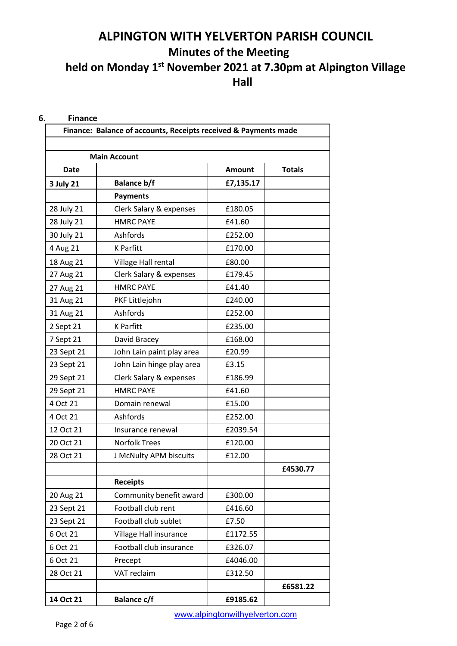| <b>Main Account</b> |                           |               |               |  |  |
|---------------------|---------------------------|---------------|---------------|--|--|
| <b>Date</b>         |                           | <b>Amount</b> | <b>Totals</b> |  |  |
| 3 July 21           | <b>Balance b/f</b>        | £7,135.17     |               |  |  |
|                     | <b>Payments</b>           |               |               |  |  |
| 28 July 21          | Clerk Salary & expenses   | £180.05       |               |  |  |
| 28 July 21          | <b>HMRC PAYE</b>          | £41.60        |               |  |  |
| 30 July 21          | Ashfords                  | £252.00       |               |  |  |
| 4 Aug 21            | <b>K</b> Parfitt          | £170.00       |               |  |  |
| 18 Aug 21           | Village Hall rental       | £80.00        |               |  |  |
| 27 Aug 21           | Clerk Salary & expenses   | £179.45       |               |  |  |
| 27 Aug 21           | <b>HMRC PAYE</b>          | £41.40        |               |  |  |
| 31 Aug 21           | PKF Littlejohn            | £240.00       |               |  |  |
| 31 Aug 21           | Ashfords                  | £252.00       |               |  |  |
| 2 Sept 21           | <b>K</b> Parfitt          | £235.00       |               |  |  |
| 7 Sept 21           | David Bracey              | £168.00       |               |  |  |
| 23 Sept 21          | John Lain paint play area | £20.99        |               |  |  |
| 23 Sept 21          | John Lain hinge play area | £3.15         |               |  |  |
| 29 Sept 21          | Clerk Salary & expenses   | £186.99       |               |  |  |
| 29 Sept 21          | <b>HMRC PAYE</b>          | £41.60        |               |  |  |
| 4 Oct 21            | Domain renewal            | £15.00        |               |  |  |
| 4 Oct 21            | Ashfords                  | £252.00       |               |  |  |
| 12 Oct 21           | Insurance renewal         | £2039.54      |               |  |  |
| 20 Oct 21           | <b>Norfolk Trees</b>      | £120.00       |               |  |  |
| 28 Oct 21           | J McNulty APM biscuits    | £12.00        |               |  |  |
|                     |                           |               | £4530.77      |  |  |
|                     | <b>Receipts</b>           |               |               |  |  |
| 20 Aug 21           | Community benefit award   | £300.00       |               |  |  |
| 23 Sept 21          | Football club rent        | £416.60       |               |  |  |
| 23 Sept 21          | Football club sublet      | £7.50         |               |  |  |
| 6 Oct 21            | Village Hall insurance    | £1172.55      |               |  |  |
| 6 Oct 21            | Football club insurance   | £326.07       |               |  |  |
| 6 Oct 21            | Precept                   | £4046.00      |               |  |  |
| 28 Oct 21           | VAT reclaim               | £312.50       |               |  |  |
|                     |                           |               | £6581.22      |  |  |
| 14 Oct 21           | <b>Balance c/f</b>        | £9185.62      |               |  |  |

www.alpingtonwithyelverton.com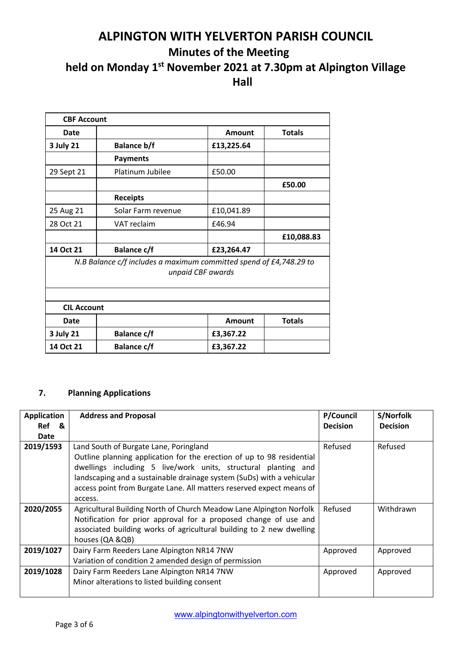| <b>CBF Account</b>                                                                      |                    |               |               |  |  |  |
|-----------------------------------------------------------------------------------------|--------------------|---------------|---------------|--|--|--|
| Date                                                                                    |                    | <b>Amount</b> | <b>Totals</b> |  |  |  |
| <b>3 July 21</b>                                                                        | <b>Balance b/f</b> | £13,225.64    |               |  |  |  |
|                                                                                         | <b>Payments</b>    |               |               |  |  |  |
| 29 Sept 21                                                                              | Platinum Jubilee   | £50.00        |               |  |  |  |
|                                                                                         |                    |               | £50.00        |  |  |  |
|                                                                                         | <b>Receipts</b>    |               |               |  |  |  |
| 25 Aug 21                                                                               | Solar Farm revenue | £10,041.89    |               |  |  |  |
| 28 Oct 21                                                                               | VAT reclaim        | £46.94        |               |  |  |  |
|                                                                                         |                    |               | £10,088.83    |  |  |  |
| 14 Oct 21                                                                               | <b>Balance c/f</b> | £23,264.47    |               |  |  |  |
| N.B Balance c/f includes a maximum committed spend of £4,748.29 to<br>unpaid CBF awards |                    |               |               |  |  |  |
| <b>CIL Account</b>                                                                      |                    |               |               |  |  |  |
| Date                                                                                    |                    | Amount        | <b>Totals</b> |  |  |  |
| 3 July 21                                                                               | <b>Balance c/f</b> | £3,367.22     |               |  |  |  |
| 14 Oct 21                                                                               | <b>Balance c/f</b> | £3,367.22     |               |  |  |  |

# **7. Planning Applications**

| <b>Application</b><br>Ref<br>୍ଷ &<br>Date | <b>Address and Proposal</b>                                                                                                                                                                                                                                                                                                                   | P/Council<br><b>Decision</b> | S/Norfolk<br><b>Decision</b> |
|-------------------------------------------|-----------------------------------------------------------------------------------------------------------------------------------------------------------------------------------------------------------------------------------------------------------------------------------------------------------------------------------------------|------------------------------|------------------------------|
| 2019/1593                                 | Land South of Burgate Lane, Poringland<br>Outline planning application for the erection of up to 98 residential<br>dwellings including 5 live/work units, structural planting and<br>landscaping and a sustainable drainage system (SuDs) with a vehicular<br>access point from Burgate Lane. All matters reserved expect means of<br>access. | Refused                      | Refused                      |
| 2020/2055                                 | Agricultural Building North of Church Meadow Lane Alpington Norfolk<br>Notification for prior approval for a proposed change of use and<br>associated building works of agricultural building to 2 new dwelling<br>houses (QA &QB)                                                                                                            | Refused                      | Withdrawn                    |
| 2019/1027                                 | Dairy Farm Reeders Lane Alpington NR14 7NW<br>Variation of condition 2 amended design of permission                                                                                                                                                                                                                                           | Approved                     | Approved                     |
| 2019/1028                                 | Dairy Farm Reeders Lane Alpington NR14 7NW<br>Minor alterations to listed building consent                                                                                                                                                                                                                                                    | Approved                     | Approved                     |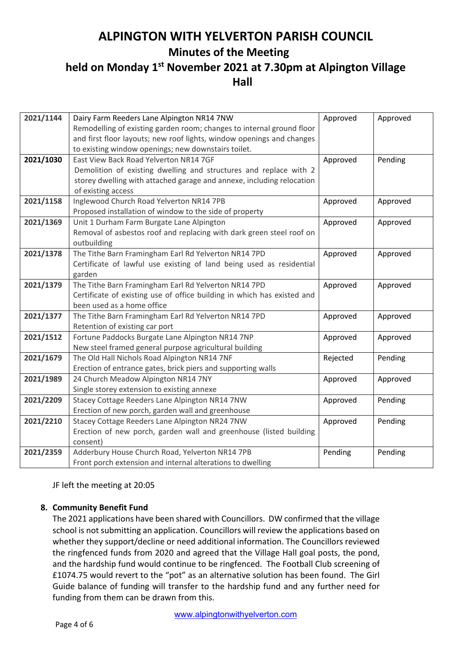**Hall**

| 2021/1144 | Dairy Farm Reeders Lane Alpington NR14 7NW                              | Approved | Approved |
|-----------|-------------------------------------------------------------------------|----------|----------|
|           | Remodelling of existing garden room; changes to internal ground floor   |          |          |
|           | and first floor layouts; new roof lights, window openings and changes   |          |          |
|           | to existing window openings; new downstairs toilet.                     |          |          |
| 2021/1030 | East View Back Road Yelverton NR14 7GF                                  | Approved | Pending  |
|           | Demolition of existing dwelling and structures and replace with 2       |          |          |
|           | storey dwelling with attached garage and annexe, including relocation   |          |          |
|           | of existing access                                                      |          |          |
| 2021/1158 | Inglewood Church Road Yelverton NR14 7PB                                | Approved | Approved |
|           | Proposed installation of window to the side of property                 |          |          |
| 2021/1369 | Unit 1 Durham Farm Burgate Lane Alpington                               | Approved | Approved |
|           | Removal of asbestos roof and replacing with dark green steel roof on    |          |          |
|           | outbuilding                                                             |          |          |
| 2021/1378 | The Tithe Barn Framingham Earl Rd Yelverton NR14 7PD                    | Approved | Approved |
|           | Certificate of lawful use existing of land being used as residential    |          |          |
|           | garden                                                                  |          |          |
| 2021/1379 | The Tithe Barn Framingham Earl Rd Yelverton NR14 7PD                    | Approved | Approved |
|           | Certificate of existing use of office building in which has existed and |          |          |
|           | been used as a home office                                              |          |          |
| 2021/1377 | The Tithe Barn Framingham Earl Rd Yelverton NR14 7PD                    | Approved | Approved |
|           | Retention of existing car port                                          |          |          |
| 2021/1512 | Fortune Paddocks Burgate Lane Alpington NR14 7NP                        | Approved | Approved |
|           | New steel framed general purpose agricultural building                  |          |          |
| 2021/1679 | The Old Hall Nichols Road Alpington NR14 7NF                            | Rejected | Pending  |
|           | Erection of entrance gates, brick piers and supporting walls            |          |          |
| 2021/1989 | 24 Church Meadow Alpington NR14 7NY                                     | Approved | Approved |
|           | Single storey extension to existing annexe                              |          |          |
| 2021/2209 | Stacey Cottage Reeders Lane Alpington NR14 7NW                          | Approved | Pending  |
|           | Erection of new porch, garden wall and greenhouse                       |          |          |
| 2021/2210 | Stacey Cottage Reeders Lane Alpington NR24 7NW                          | Approved | Pending  |
|           | Erection of new porch, garden wall and greenhouse (listed building      |          |          |
|           | consent)                                                                |          |          |
| 2021/2359 | Adderbury House Church Road, Yelverton NR14 7PB                         | Pending  | Pending  |
|           | Front porch extension and internal alterations to dwelling              |          |          |

JF left the meeting at 20:05

# **8. Community Benefit Fund**

The 2021 applications have been shared with Councillors. DW confirmed that the village school is not submitting an application. Councillors will review the applications based on whether they support/decline or need additional information. The Councillors reviewed the ringfenced funds from 2020 and agreed that the Village Hall goal posts, the pond, and the hardship fund would continue to be ringfenced. The Football Club screening of £1074.75 would revert to the "pot" as an alternative solution has been found. The Girl Guide balance of funding will transfer to the hardship fund and any further need for funding from them can be drawn from this.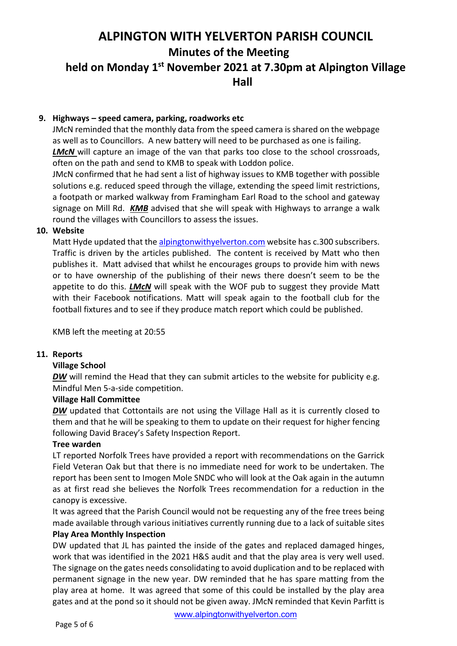## **9. Highways – speed camera, parking, roadworks etc**

JMcN reminded that the monthly data from the speed camera is shared on the webpage as well as to Councillors. A new battery will need to be purchased as one is failing. **LMcN** will capture an image of the van that parks too close to the school crossroads, often on the path and send to KMB to speak with Loddon police.

JMcN confirmed that he had sent a list of highway issues to KMB together with possible solutions e.g. reduced speed through the village, extending the speed limit restrictions, a footpath or marked walkway from Framingham Earl Road to the school and gateway signage on Mill Rd. *KMB* advised that she will speak with Highways to arrange a walk round the villages with Councillors to assess the issues.

## **10. Website**

Matt Hyde updated that the alpingtonwithyelverton.com website has c.300 subscribers. Traffic is driven by the articles published. The content is received by Matt who then publishes it. Matt advised that whilst he encourages groups to provide him with news or to have ownership of the publishing of their news there doesn't seem to be the appetite to do this. *LMcN* will speak with the WOF pub to suggest they provide Matt with their Facebook notifications. Matt will speak again to the football club for the football fixtures and to see if they produce match report which could be published.

KMB left the meeting at 20:55

# **11. Reports**

#### **Village School**

*DW* will remind the Head that they can submit articles to the website for publicity e.g. Mindful Men 5-a-side competition.

#### **Village Hall Committee**

*DW* updated that Cottontails are not using the Village Hall as it is currently closed to them and that he will be speaking to them to update on their request for higher fencing following David Bracey's Safety Inspection Report.

#### **Tree warden**

LT reported Norfolk Trees have provided a report with recommendations on the Garrick Field Veteran Oak but that there is no immediate need for work to be undertaken. The report has been sent to Imogen Mole SNDC who will look at the Oak again in the autumn as at first read she believes the Norfolk Trees recommendation for a reduction in the canopy is excessive.

It was agreed that the Parish Council would not be requesting any of the free trees being made available through various initiatives currently running due to a lack of suitable sites

## **Play Area Monthly Inspection**

DW updated that JL has painted the inside of the gates and replaced damaged hinges, work that was identified in the 2021 H&S audit and that the play area is very well used. The signage on the gates needs consolidating to avoid duplication and to be replaced with permanent signage in the new year. DW reminded that he has spare matting from the play area at home. It was agreed that some of this could be installed by the play area gates and at the pond so it should not be given away. JMcN reminded that Kevin Parfitt is